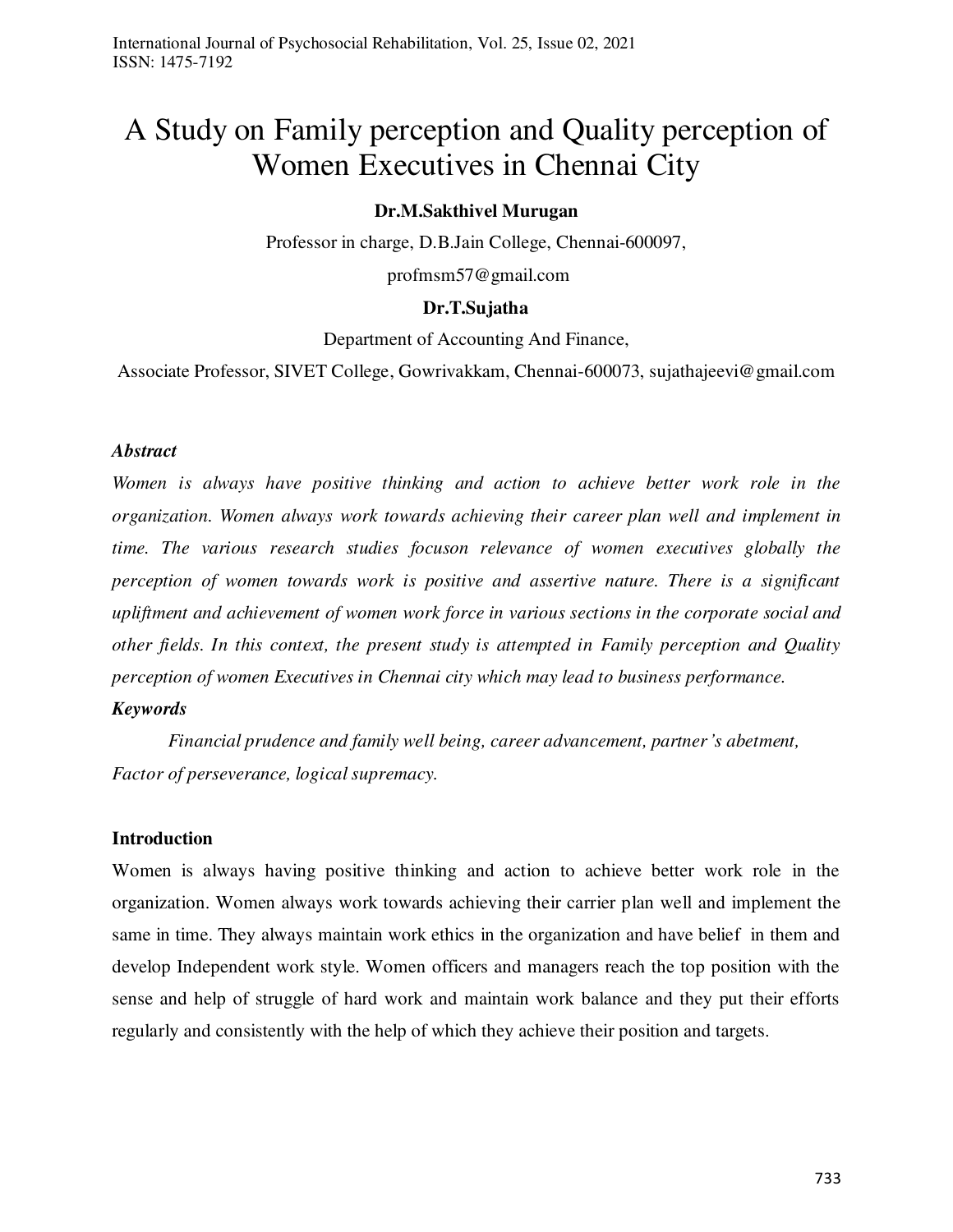# A Study on Family perception and Quality perception of Women Executives in Chennai City

#### **Dr.M.Sakthivel Murugan**

Professor in charge, D.B.Jain College, Chennai-600097,

profmsm57@gmail.com

# **Dr.T.Sujatha**

Department of Accounting And Finance,

Associate Professor, SIVET College, Gowrivakkam, Chennai-600073, sujathajeevi@gmail.com

#### *Abstract*

*Women is always have positive thinking and action to achieve better work role in the organization. Women always work towards achieving their career plan well and implement in time. The various research studies focuson relevance of women executives globally the perception of women towards work is positive and assertive nature. There is a significant upliftment and achievement of women work force in various sections in the corporate social and other fields. In this context, the present study is attempted in Family perception and Quality perception of women Executives in Chennai city which may lead to business performance.* 

#### *Keywords*

*Financial prudence and family well being, career advancement, partner's abetment, Factor of perseverance, logical supremacy.* 

#### **Introduction**

Women is always having positive thinking and action to achieve better work role in the organization. Women always work towards achieving their carrier plan well and implement the same in time. They always maintain work ethics in the organization and have belief in them and develop Independent work style. Women officers and managers reach the top position with the sense and help of struggle of hard work and maintain work balance and they put their efforts regularly and consistently with the help of which they achieve their position and targets.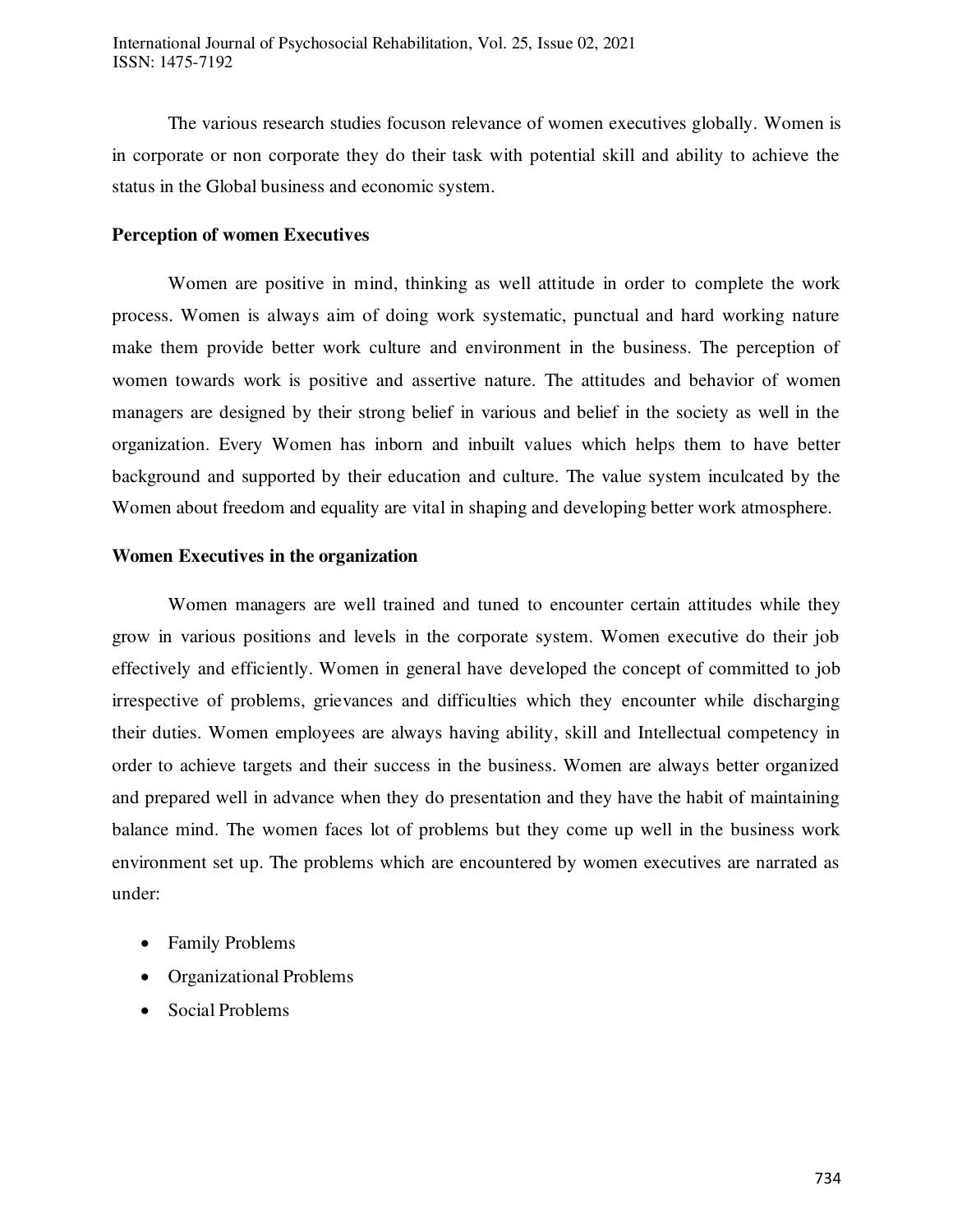The various research studies focuson relevance of women executives globally. Women is in corporate or non corporate they do their task with potential skill and ability to achieve the status in the Global business and economic system.

#### **Perception of women Executives**

 Women are positive in mind, thinking as well attitude in order to complete the work process. Women is always aim of doing work systematic, punctual and hard working nature make them provide better work culture and environment in the business. The perception of women towards work is positive and assertive nature. The attitudes and behavior of women managers are designed by their strong belief in various and belief in the society as well in the organization. Every Women has inborn and inbuilt values which helps them to have better background and supported by their education and culture. The value system inculcated by the Women about freedom and equality are vital in shaping and developing better work atmosphere.

#### **Women Executives in the organization**

Women managers are well trained and tuned to encounter certain attitudes while they grow in various positions and levels in the corporate system. Women executive do their job effectively and efficiently. Women in general have developed the concept of committed to job irrespective of problems, grievances and difficulties which they encounter while discharging their duties. Women employees are always having ability, skill and Intellectual competency in order to achieve targets and their success in the business. Women are always better organized and prepared well in advance when they do presentation and they have the habit of maintaining balance mind. The women faces lot of problems but they come up well in the business work environment set up. The problems which are encountered by women executives are narrated as under:

- Family Problems
- Organizational Problems
- Social Problems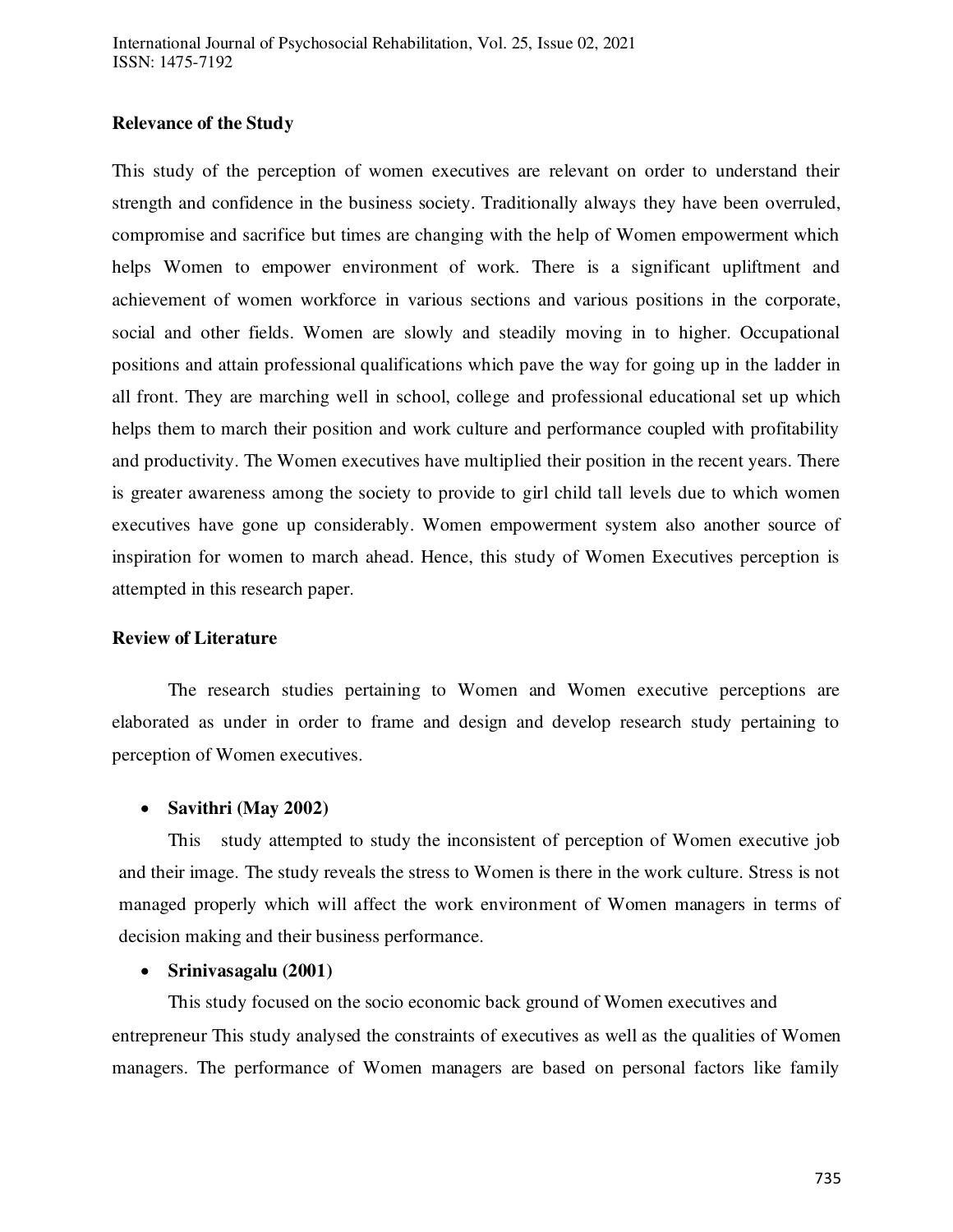#### **Relevance of the Study**

This study of the perception of women executives are relevant on order to understand their strength and confidence in the business society. Traditionally always they have been overruled, compromise and sacrifice but times are changing with the help of Women empowerment which helps Women to empower environment of work. There is a significant upliftment and achievement of women workforce in various sections and various positions in the corporate, social and other fields. Women are slowly and steadily moving in to higher. Occupational positions and attain professional qualifications which pave the way for going up in the ladder in all front. They are marching well in school, college and professional educational set up which helps them to march their position and work culture and performance coupled with profitability and productivity. The Women executives have multiplied their position in the recent years. There is greater awareness among the society to provide to girl child tall levels due to which women executives have gone up considerably. Women empowerment system also another source of inspiration for women to march ahead. Hence, this study of Women Executives perception is attempted in this research paper.

#### **Review of Literature**

The research studies pertaining to Women and Women executive perceptions are elaborated as under in order to frame and design and develop research study pertaining to perception of Women executives.

#### **Savithri (May 2002)**

This study attempted to study the inconsistent of perception of Women executive job and their image. The study reveals the stress to Women is there in the work culture. Stress is not managed properly which will affect the work environment of Women managers in terms of decision making and their business performance.

#### **Srinivasagalu (2001)**

This study focused on the socio economic back ground of Women executives and entrepreneur This study analysed the constraints of executives as well as the qualities of Women managers. The performance of Women managers are based on personal factors like family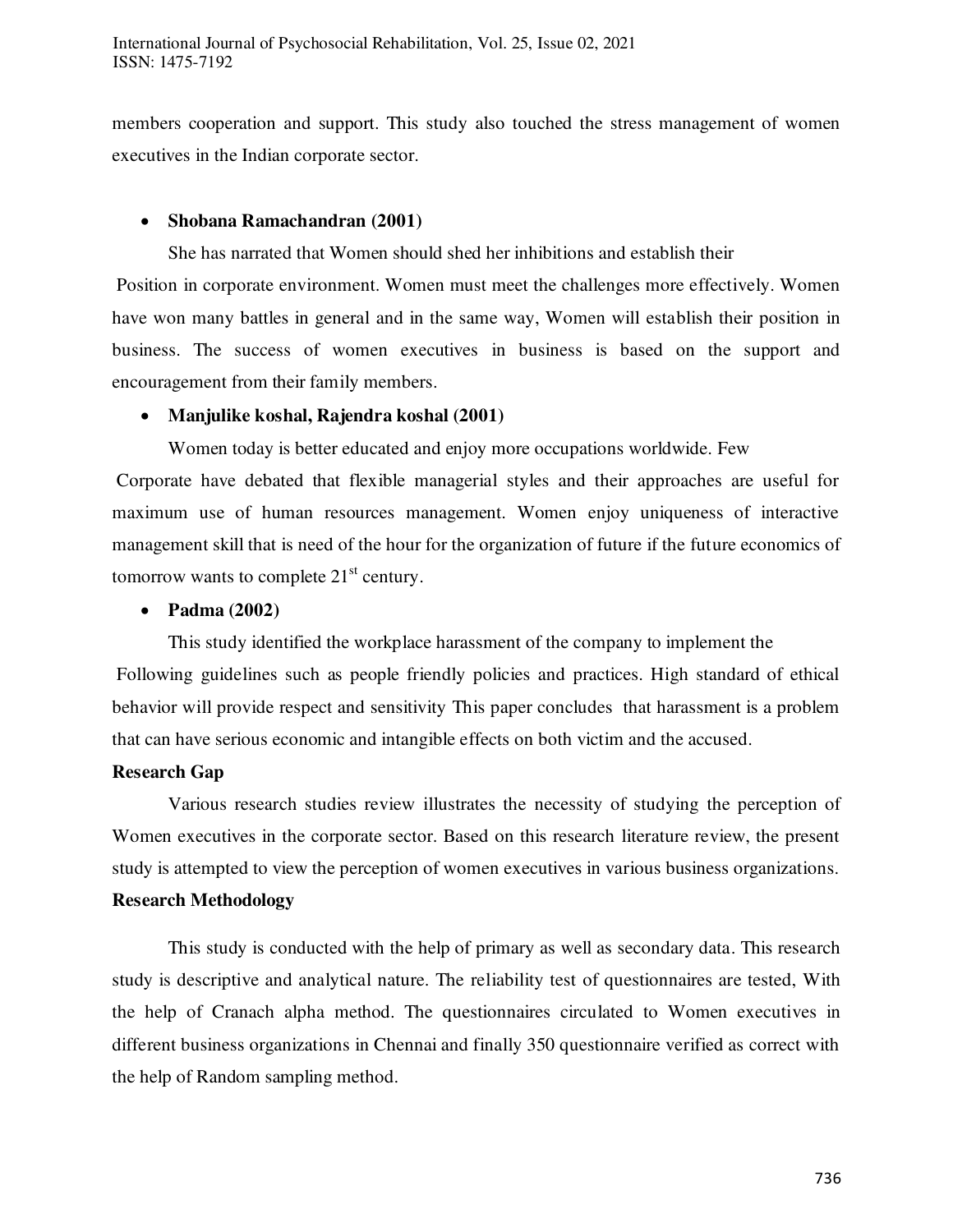members cooperation and support. This study also touched the stress management of women executives in the Indian corporate sector.

## **Shobana Ramachandran (2001)**

She has narrated that Women should shed her inhibitions and establish their

 Position in corporate environment. Women must meet the challenges more effectively. Women have won many battles in general and in the same way, Women will establish their position in business. The success of women executives in business is based on the support and encouragement from their family members.

#### **Manjulike koshal, Rajendra koshal (2001)**

Women today is better educated and enjoy more occupations worldwide. Few

 Corporate have debated that flexible managerial styles and their approaches are useful for maximum use of human resources management. Women enjoy uniqueness of interactive management skill that is need of the hour for the organization of future if the future economics of tomorrow wants to complete  $21<sup>st</sup>$  century.

#### **Padma (2002)**

This study identified the workplace harassment of the company to implement the Following guidelines such as people friendly policies and practices. High standard of ethical behavior will provide respect and sensitivity This paper concludes that harassment is a problem that can have serious economic and intangible effects on both victim and the accused.

#### **Research Gap**

 Various research studies review illustrates the necessity of studying the perception of Women executives in the corporate sector. Based on this research literature review, the present study is attempted to view the perception of women executives in various business organizations. **Research Methodology**

 This study is conducted with the help of primary as well as secondary data. This research study is descriptive and analytical nature. The reliability test of questionnaires are tested, With the help of Cranach alpha method. The questionnaires circulated to Women executives in different business organizations in Chennai and finally 350 questionnaire verified as correct with the help of Random sampling method.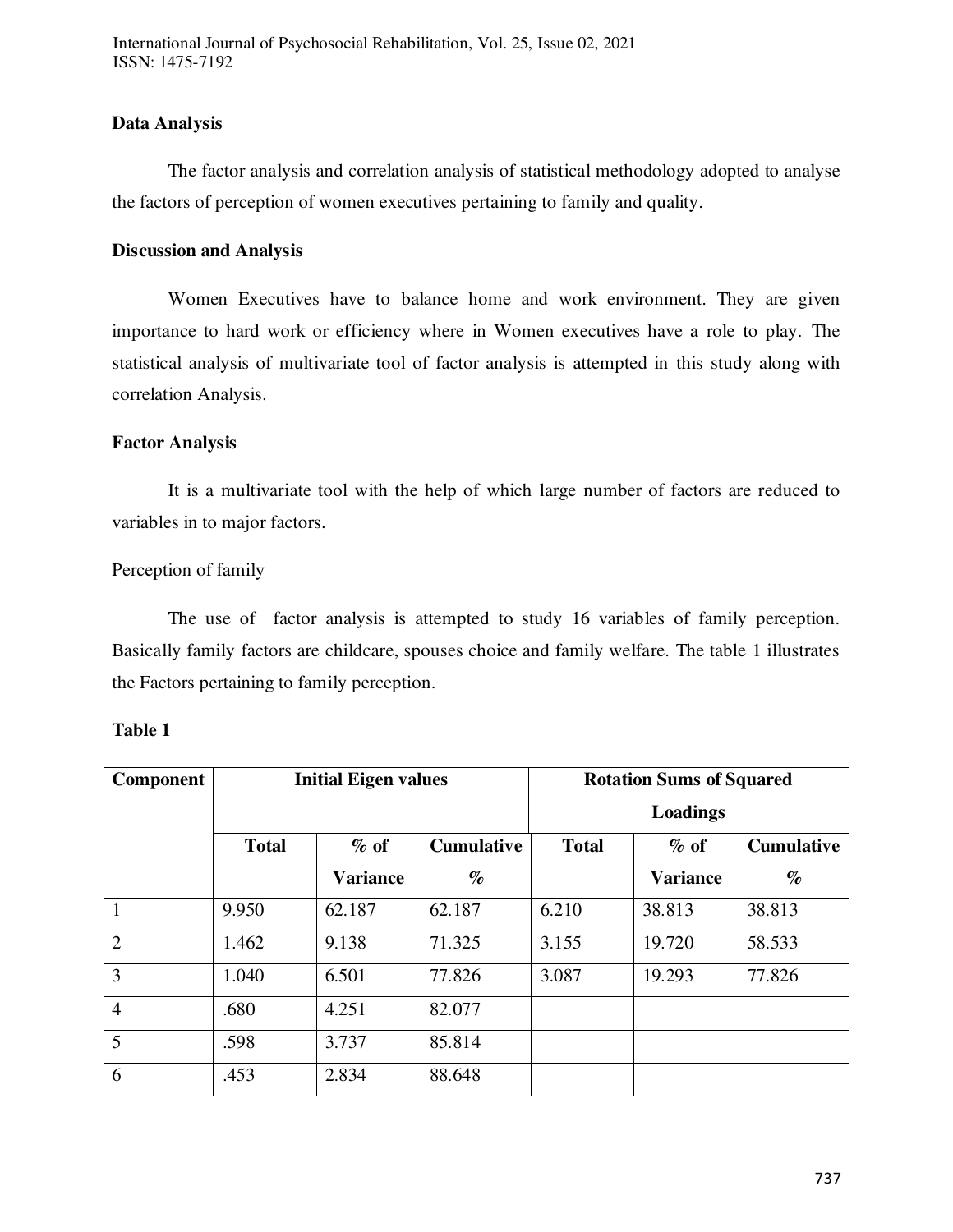#### **Data Analysis**

 The factor analysis and correlation analysis of statistical methodology adopted to analyse the factors of perception of women executives pertaining to family and quality.

#### **Discussion and Analysis**

 Women Executives have to balance home and work environment. They are given importance to hard work or efficiency where in Women executives have a role to play. The statistical analysis of multivariate tool of factor analysis is attempted in this study along with correlation Analysis.

#### **Factor Analysis**

 It is a multivariate tool with the help of which large number of factors are reduced to variables in to major factors.

#### Perception of family

 The use of factor analysis is attempted to study 16 variables of family perception. Basically family factors are childcare, spouses choice and family welfare. The table 1 illustrates the Factors pertaining to family perception.

| Component      | <b>Initial Eigen values</b> |                 | <b>Rotation Sums of Squared</b> |              |                 |                   |
|----------------|-----------------------------|-----------------|---------------------------------|--------------|-----------------|-------------------|
|                |                             |                 | Loadings                        |              |                 |                   |
|                | <b>Total</b>                | $%$ of          | <b>Cumulative</b>               | <b>Total</b> | $\%$ of         | <b>Cumulative</b> |
|                |                             | <b>Variance</b> | $\%$                            |              | <b>Variance</b> | $\%$              |
| $\mathbf{1}$   | 9.950                       | 62.187          | 62.187                          | 6.210        | 38.813          | 38.813            |
| $\overline{2}$ | 1.462                       | 9.138           | 71.325                          | 3.155        | 19.720          | 58.533            |
| 3              | 1.040                       | 6.501           | 77.826                          | 3.087        | 19.293          | 77.826            |
| $\overline{4}$ | .680                        | 4.251           | 82.077                          |              |                 |                   |
| 5              | .598                        | 3.737           | 85.814                          |              |                 |                   |
| 6              | .453                        | 2.834           | 88.648                          |              |                 |                   |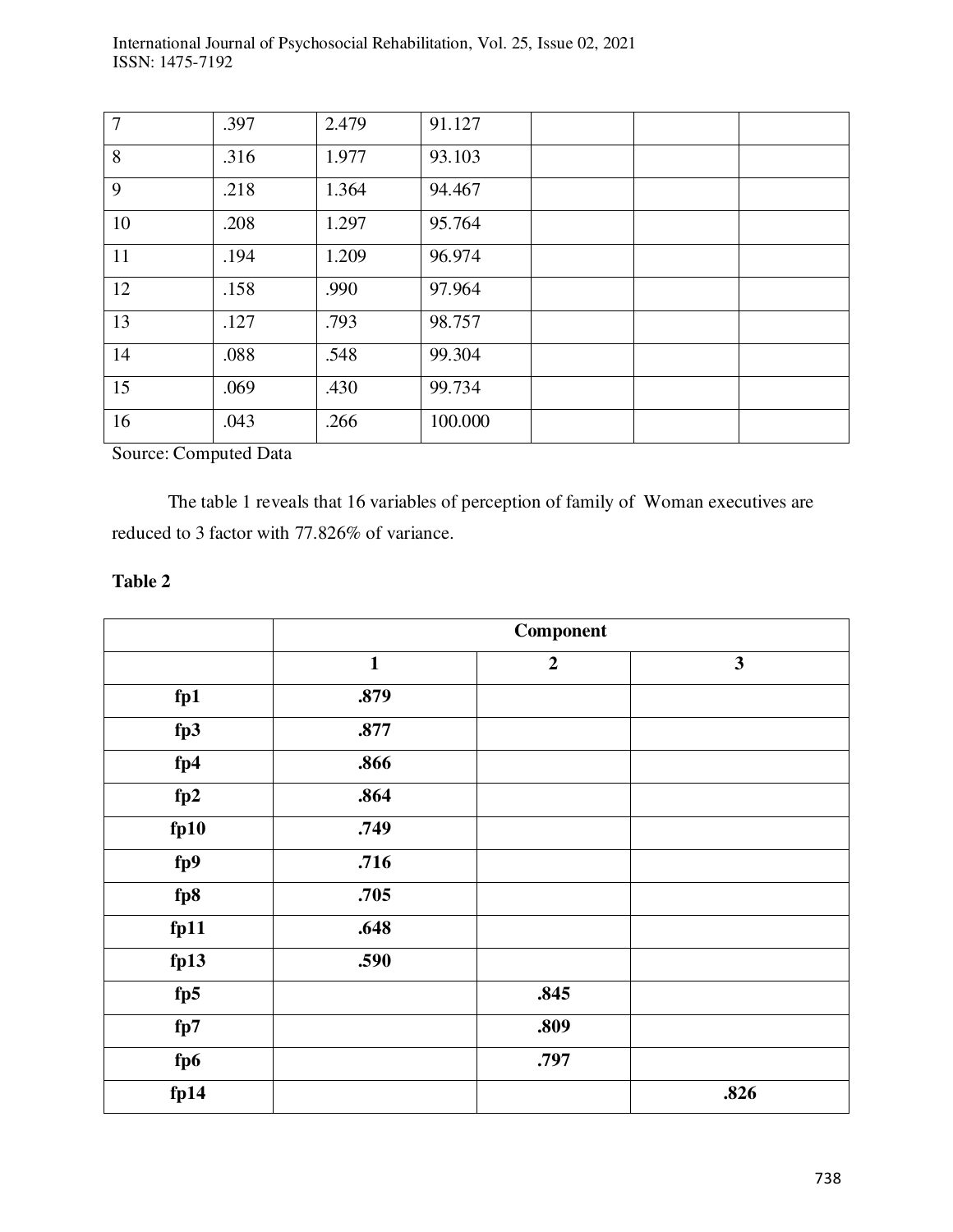| $\overline{7}$ | .397 | 2.479 | 91.127  |  |  |
|----------------|------|-------|---------|--|--|
| 8              | .316 | 1.977 | 93.103  |  |  |
| 9              | .218 | 1.364 | 94.467  |  |  |
| 10             | .208 | 1.297 | 95.764  |  |  |
| 11             | .194 | 1.209 | 96.974  |  |  |
| 12             | .158 | .990  | 97.964  |  |  |
| 13             | .127 | .793  | 98.757  |  |  |
| 14             | .088 | .548  | 99.304  |  |  |
| 15             | .069 | .430  | 99.734  |  |  |
| 16             | .043 | .266  | 100.000 |  |  |

International Journal of Psychosocial Rehabilitation, Vol. 25, Issue 02, 2021 ISSN: 1475-7192

Source: Computed Data

 The table 1 reveals that 16 variables of perception of family of Woman executives are reduced to 3 factor with 77.826% of variance.

|      | Component    |                |              |
|------|--------------|----------------|--------------|
|      | $\mathbf{1}$ | $\overline{2}$ | $\mathbf{3}$ |
| fp1  | .879         |                |              |
| fp3  | .877         |                |              |
| fp4  | .866         |                |              |
| fp2  | .864         |                |              |
| fp10 | .749         |                |              |
| fp9  | .716         |                |              |
| fp8  | .705         |                |              |
| fp11 | .648         |                |              |
| fp13 | .590         |                |              |
| fp5  |              | .845           |              |
| fp7  |              | .809           |              |
| fp6  |              | .797           |              |
| fp14 |              |                | .826         |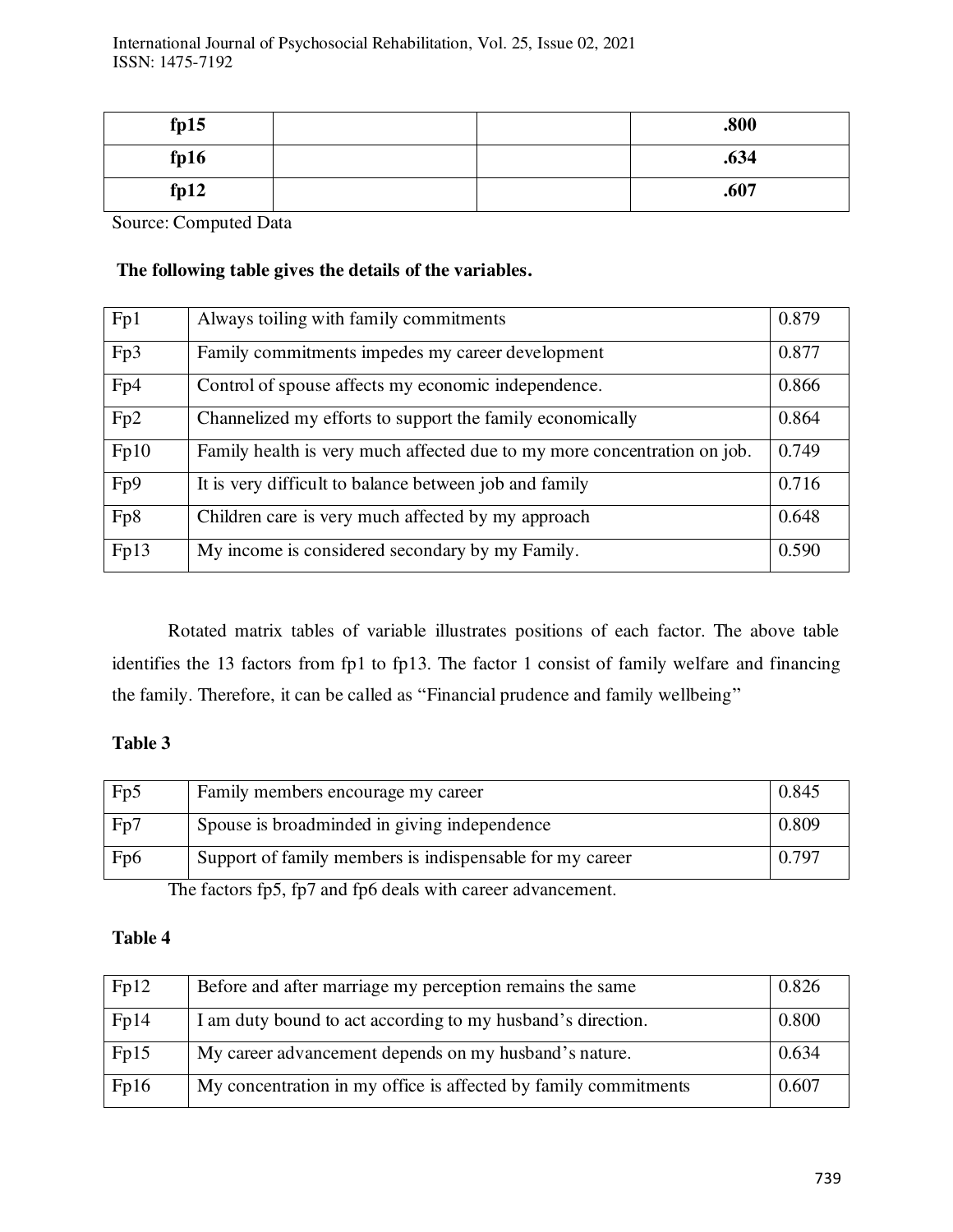| fp15 |  | .800 |
|------|--|------|
| fp16 |  | .634 |
| fp12 |  | .607 |

Source: Computed Data

# **The following table gives the details of the variables.**

| Fp1  | Always toiling with family commitments                                   | 0.879 |
|------|--------------------------------------------------------------------------|-------|
| Fp3  | Family commitments impedes my career development                         | 0.877 |
| Fp4  | Control of spouse affects my economic independence.                      | 0.866 |
| Fp2  | Channelized my efforts to support the family economically                | 0.864 |
| Fp10 | Family health is very much affected due to my more concentration on job. | 0.749 |
| Fp9  | It is very difficult to balance between job and family                   | 0.716 |
| Fp8  | Children care is very much affected by my approach                       | 0.648 |
| Fp13 | My income is considered secondary by my Family.                          | 0.590 |

 Rotated matrix tables of variable illustrates positions of each factor. The above table identifies the 13 factors from fp1 to fp13. The factor 1 consist of family welfare and financing the family. Therefore, it can be called as "Financial prudence and family wellbeing"

# **Table 3**

| Fp5              | Family members encourage my career                       | 0.845 |
|------------------|----------------------------------------------------------|-------|
| Fp7              | Spouse is broadminded in giving independence             | 0.809 |
| F <sub>p</sub> 6 | Support of family members is indispensable for my career | 0.797 |

The factors fp5, fp7 and fp6 deals with career advancement.

| Fp12 | Before and after marriage my perception remains the same        | 0.826 |
|------|-----------------------------------------------------------------|-------|
| Fp14 | I am duty bound to act according to my husband's direction.     | 0.800 |
| Fp15 | My career advancement depends on my husband's nature.           | 0.634 |
| Fp16 | My concentration in my office is affected by family commitments | 0.607 |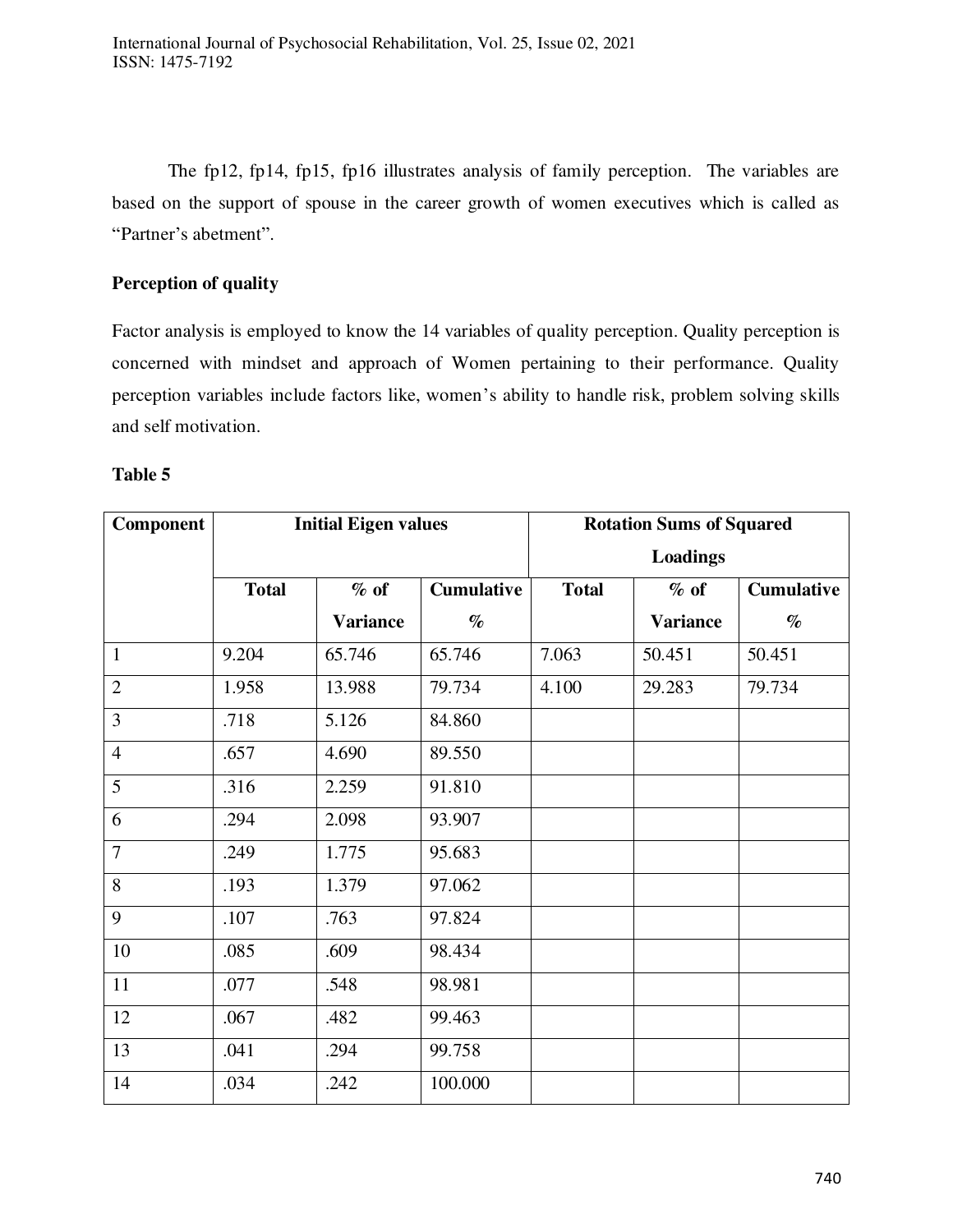The fp12, fp14, fp15, fp16 illustrates analysis of family perception. The variables are based on the support of spouse in the career growth of women executives which is called as "Partner's abetment".

# **Perception of quality**

Factor analysis is employed to know the 14 variables of quality perception. Quality perception is concerned with mindset and approach of Women pertaining to their performance. Quality perception variables include factors like, women's ability to handle risk, problem solving skills and self motivation.

| Component      | <b>Initial Eigen values</b> |                 | <b>Rotation Sums of Squared</b> |              |                 |                   |
|----------------|-----------------------------|-----------------|---------------------------------|--------------|-----------------|-------------------|
|                |                             |                 | <b>Loadings</b>                 |              |                 |                   |
|                | <b>Total</b>                | $%$ of          | <b>Cumulative</b>               | <b>Total</b> | $%$ of          | <b>Cumulative</b> |
|                |                             | <b>Variance</b> | $\%$                            |              | <b>Variance</b> | $\%$              |
| $\mathbf{1}$   | 9.204                       | 65.746          | 65.746                          | 7.063        | 50.451          | 50.451            |
| $\overline{2}$ | 1.958                       | 13.988          | 79.734                          | 4.100        | 29.283          | 79.734            |
| $\overline{3}$ | .718                        | 5.126           | 84.860                          |              |                 |                   |
| $\overline{4}$ | .657                        | 4.690           | 89.550                          |              |                 |                   |
| 5              | .316                        | 2.259           | 91.810                          |              |                 |                   |
| 6              | .294                        | 2.098           | 93.907                          |              |                 |                   |
| $\overline{7}$ | .249                        | 1.775           | 95.683                          |              |                 |                   |
| 8              | .193                        | 1.379           | 97.062                          |              |                 |                   |
| 9              | .107                        | .763            | 97.824                          |              |                 |                   |
| 10             | .085                        | .609            | 98.434                          |              |                 |                   |
| 11             | .077                        | .548            | 98.981                          |              |                 |                   |
| 12             | .067                        | .482            | 99.463                          |              |                 |                   |
| 13             | .041                        | .294            | 99.758                          |              |                 |                   |
| 14             | .034                        | .242            | 100.000                         |              |                 |                   |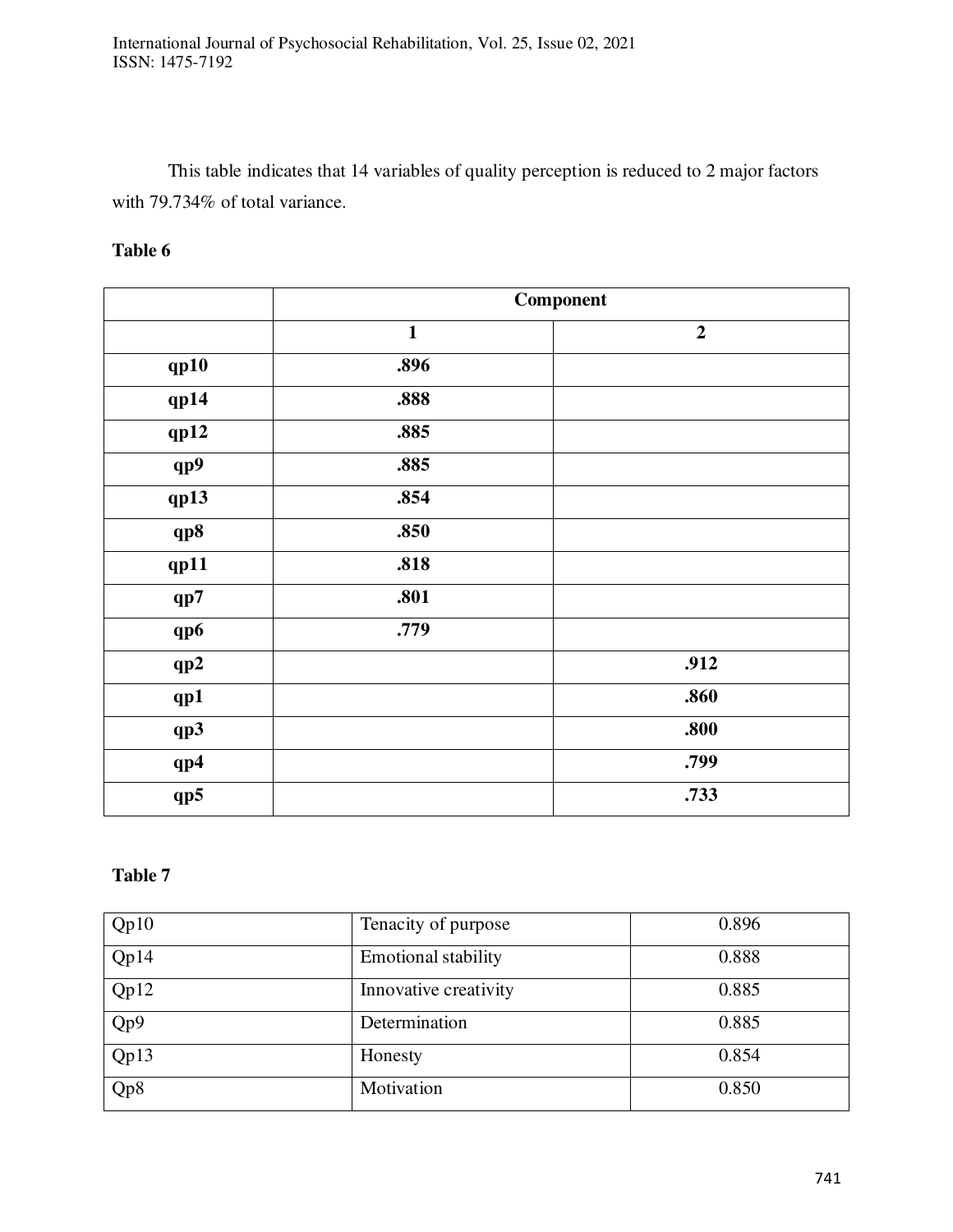This table indicates that 14 variables of quality perception is reduced to 2 major factors with 79.734% of total variance.

# **Table 6**

|      |              | Component        |
|------|--------------|------------------|
|      | $\mathbf{1}$ | $\boldsymbol{2}$ |
| qp10 | .896         |                  |
| qp14 | .888         |                  |
| qp12 | .885         |                  |
| qp9  | .885         |                  |
| qp13 | .854         |                  |
| qp8  | .850         |                  |
| qp11 | .818         |                  |
| qp7  | .801         |                  |
| qp6  | .779         |                  |
| qp2  |              | .912             |
| qp1  |              | .860             |
| qp3  |              | .800             |
| qp4  |              | .799             |
| qp5  |              | .733             |

| Qp10 | Tenacity of purpose        | 0.896 |
|------|----------------------------|-------|
| Qp14 | <b>Emotional stability</b> | 0.888 |
| Qp12 | Innovative creativity      | 0.885 |
| Qp9  | Determination              | 0.885 |
| Qp13 | Honesty                    | 0.854 |
| Qp8  | Motivation                 | 0.850 |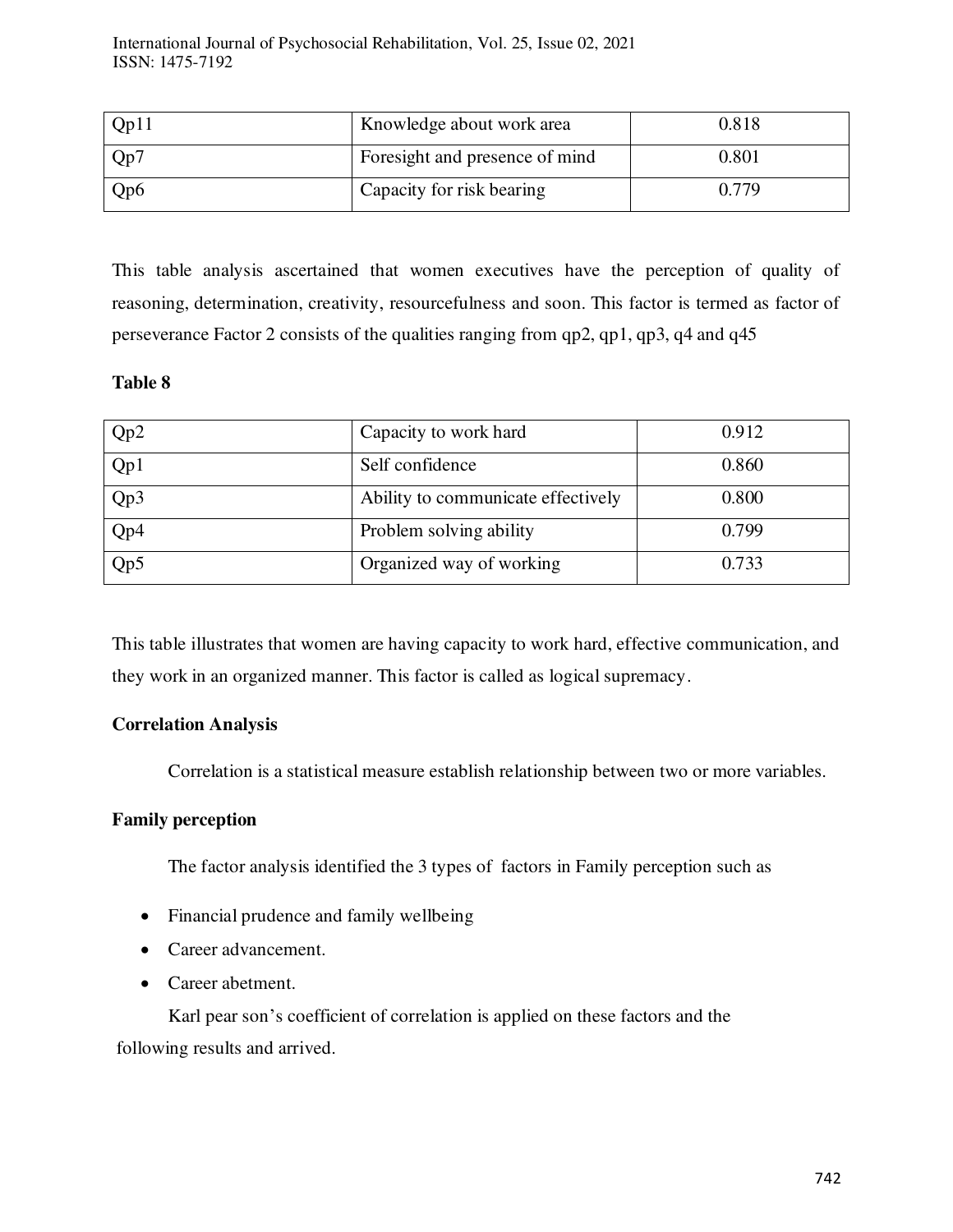| Qp11             | Knowledge about work area      | 0.818 |
|------------------|--------------------------------|-------|
| Qp7              | Foresight and presence of mind | 0.801 |
| Q <sub>p</sub> 6 | Capacity for risk bearing      | 0.779 |

This table analysis ascertained that women executives have the perception of quality of reasoning, determination, creativity, resourcefulness and soon. This factor is termed as factor of perseverance Factor 2 consists of the qualities ranging from qp2, qp1, qp3, q4 and q45

## **Table 8**

| Qp2 | Capacity to work hard              | 0.912 |
|-----|------------------------------------|-------|
| Qp1 | Self confidence                    | 0.860 |
| Qp3 | Ability to communicate effectively | 0.800 |
| Qp4 | Problem solving ability            | 0.799 |
| Qp5 | Organized way of working           | 0.733 |

This table illustrates that women are having capacity to work hard, effective communication, and they work in an organized manner. This factor is called as logical supremacy.

# **Correlation Analysis**

Correlation is a statistical measure establish relationship between two or more variables.

# **Family perception**

The factor analysis identified the 3 types of factors in Family perception such as

- Financial prudence and family wellbeing
- Career advancement.
- Career abetment.

Karl pear son's coefficient of correlation is applied on these factors and the following results and arrived.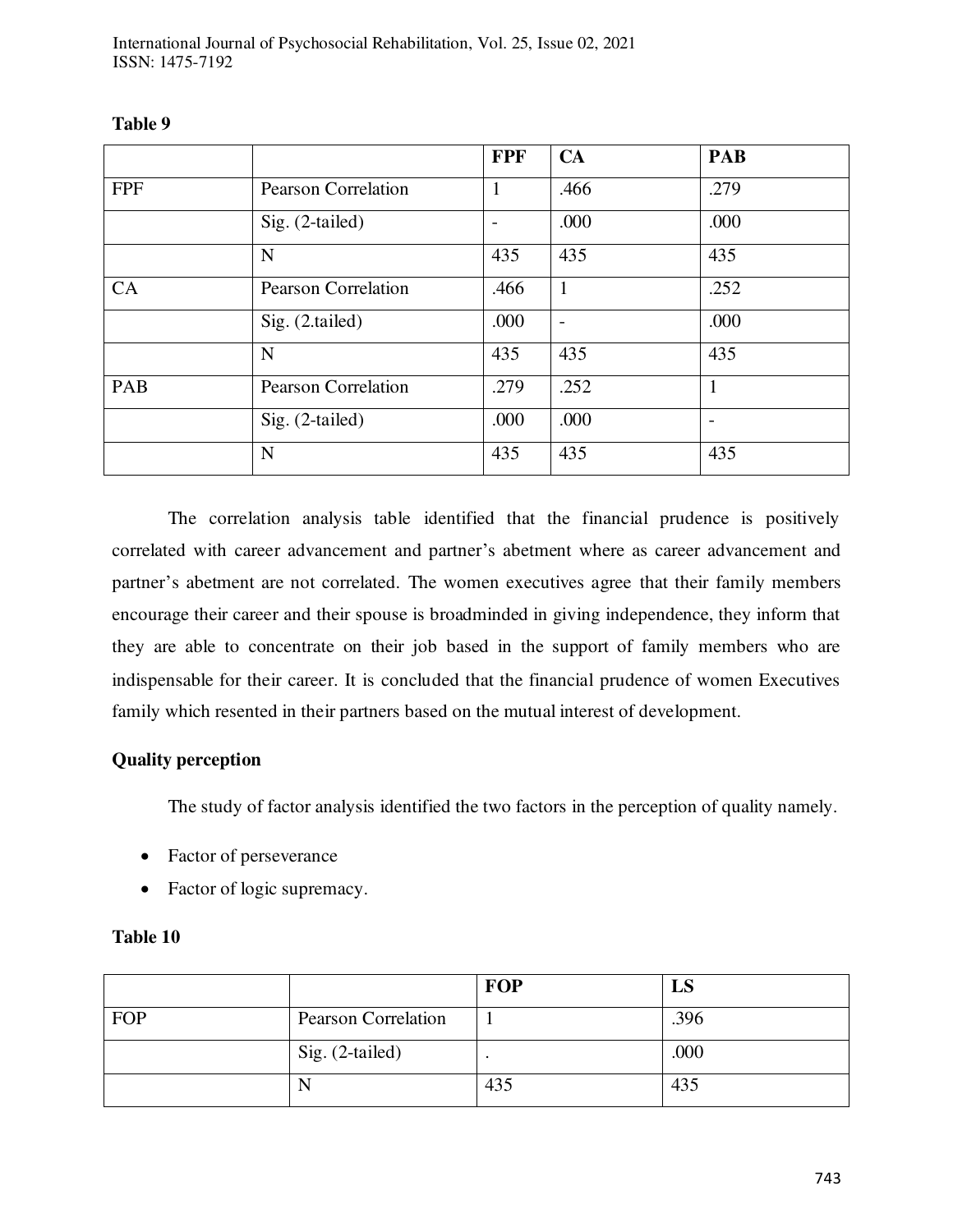|            |                            | <b>FPF</b> | <b>CA</b>         | <b>PAB</b> |
|------------|----------------------------|------------|-------------------|------------|
| <b>FPF</b> | <b>Pearson Correlation</b> | L          | .466              | .279       |
|            | Sig. (2-tailed)            |            | .000              | .000       |
|            | $\mathbf N$                | 435        | 435               | 435        |
| CA         | <b>Pearson Correlation</b> | .466       | $\mathbf{1}$      | .252       |
|            | Sig. (2.tailed)            | .000       | $\qquad \qquad -$ | .000       |
|            | $\mathbf N$                | 435        | 435               | 435        |
| PAB        | <b>Pearson Correlation</b> | .279       | .252              | 1          |
|            | $Sig. (2-tailed)$          | .000       | .000              |            |
|            | $\mathbf N$                | 435        | 435               | 435        |

# **Table 9**

 The correlation analysis table identified that the financial prudence is positively correlated with career advancement and partner's abetment where as career advancement and partner's abetment are not correlated. The women executives agree that their family members encourage their career and their spouse is broadminded in giving independence, they inform that they are able to concentrate on their job based in the support of family members who are indispensable for their career. It is concluded that the financial prudence of women Executives family which resented in their partners based on the mutual interest of development.

# **Quality perception**

The study of factor analysis identified the two factors in the perception of quality namely.

- Factor of perseverance
- Factor of logic supremacy.

|     |                            | FOP | LS   |
|-----|----------------------------|-----|------|
| FOP | <b>Pearson Correlation</b> |     | .396 |
|     | Sig. (2-tailed)            |     | .000 |
|     | N                          | 435 | 435  |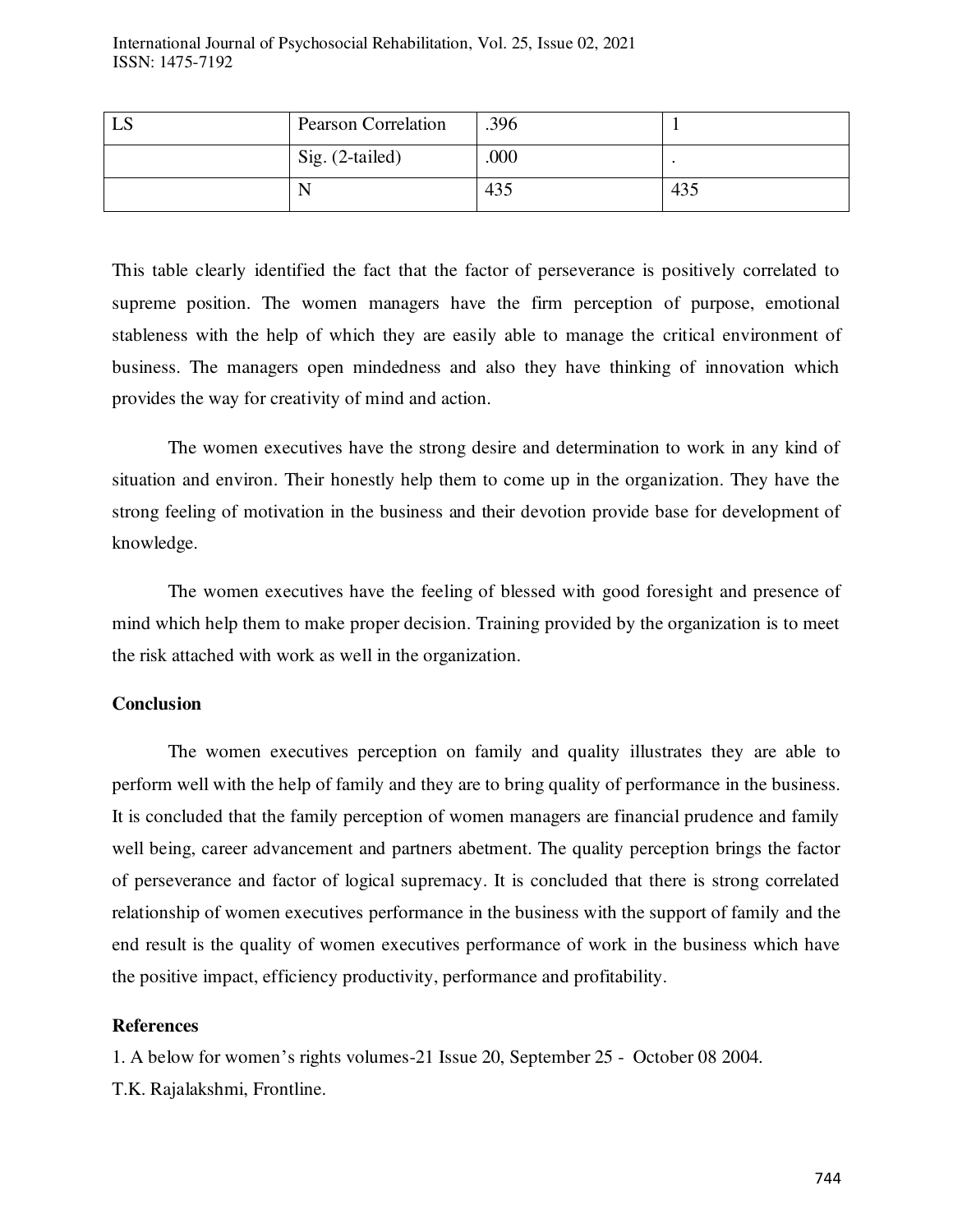| LS | <b>Pearson Correlation</b> | .396 |     |
|----|----------------------------|------|-----|
|    | Sig. (2-tailed)            | .000 |     |
|    | N                          | 435  | 435 |

This table clearly identified the fact that the factor of perseverance is positively correlated to supreme position. The women managers have the firm perception of purpose, emotional stableness with the help of which they are easily able to manage the critical environment of business. The managers open mindedness and also they have thinking of innovation which provides the way for creativity of mind and action.

 The women executives have the strong desire and determination to work in any kind of situation and environ. Their honestly help them to come up in the organization. They have the strong feeling of motivation in the business and their devotion provide base for development of knowledge.

 The women executives have the feeling of blessed with good foresight and presence of mind which help them to make proper decision. Training provided by the organization is to meet the risk attached with work as well in the organization.

#### **Conclusion**

 The women executives perception on family and quality illustrates they are able to perform well with the help of family and they are to bring quality of performance in the business. It is concluded that the family perception of women managers are financial prudence and family well being, career advancement and partners abetment. The quality perception brings the factor of perseverance and factor of logical supremacy. It is concluded that there is strong correlated relationship of women executives performance in the business with the support of family and the end result is the quality of women executives performance of work in the business which have the positive impact, efficiency productivity, performance and profitability.

#### **References**

1. A below for women's rights volumes-21 Issue 20, September 25 - October 08 2004.

T.K. Rajalakshmi, Frontline.